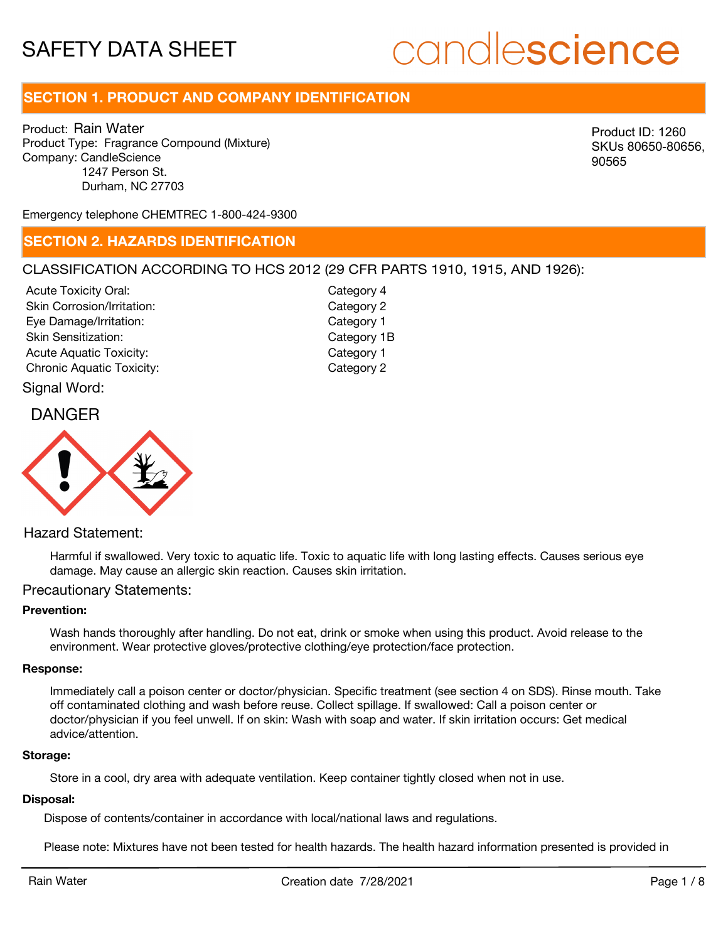# candlescience

# **SECTION 1. PRODUCT AND COMPANY IDENTIFICATION**

Product: Rain Water Product Type: Fragrance Compound (Mixture) Company: CandleScience 1247 Person St. Durham, NC 27703

Product ID: 1260 SKUs 80650-80656, 90565

Emergency telephone CHEMTREC 1-800-424-9300

### **SECTION 2. HAZARDS IDENTIFICATION**

### CLASSIFICATION ACCORDING TO HCS 2012 (29 CFR PARTS 1910, 1915, AND 1926):

Acute Toxicity Oral: Skin Corrosion/Irritation: Eye Damage/Irritation: Skin Sensitization: Acute Aquatic Toxicity: Acute Aquatic Toxicity: Chronic Aquatic Toxicity: Chronic Aquatic Toxicity:

Category 4 Category 2 Category 1 Category 1B

Signal Word:

## DANGER



### Hazard Statement:

Harmful if swallowed. Very toxic to aquatic life. Toxic to aquatic life with long lasting effects. Causes serious eye damage. May cause an allergic skin reaction. Causes skin irritation.

### Precautionary Statements:

### **Prevention:**

Wash hands thoroughly after handling. Do not eat, drink or smoke when using this product. Avoid release to the environment. Wear protective gloves/protective clothing/eye protection/face protection.

#### **Response:**

Immediately call a poison center or doctor/physician. Specific treatment (see section 4 on SDS). Rinse mouth. Take off contaminated clothing and wash before reuse. Collect spillage. If swallowed: Call a poison center or doctor/physician if you feel unwell. If on skin: Wash with soap and water. If skin irritation occurs: Get medical advice/attention.

#### **Storage:**

Store in a cool, dry area with adequate ventilation. Keep container tightly closed when not in use.

#### **Disposal:**

Dispose of contents/container in accordance with local/national laws and regulations.

Please note: Mixtures have not been tested for health hazards. The health hazard information presented is provided in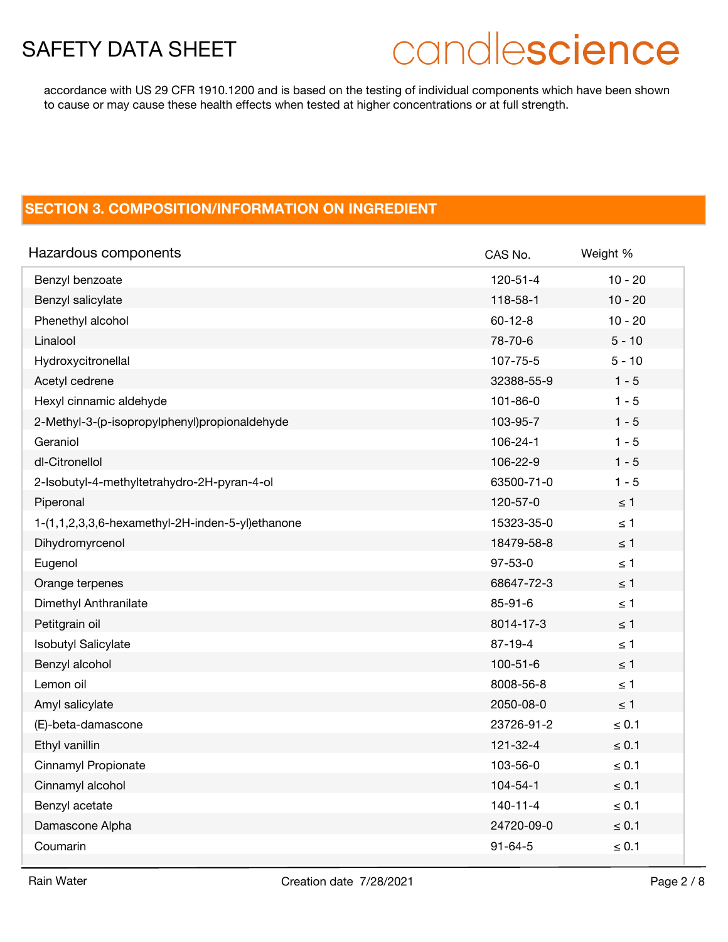# candlescience

accordance with US 29 CFR 1910.1200 and is based on the testing of individual components which have been shown to cause or may cause these health effects when tested at higher concentrations or at full strength.

## **SECTION 3. COMPOSITION/INFORMATION ON INGREDIENT**

| Hazardous components                             | CAS No.        | Weight %   |
|--------------------------------------------------|----------------|------------|
| Benzyl benzoate                                  | $120 - 51 - 4$ | $10 - 20$  |
| Benzyl salicylate                                | 118-58-1       | $10 - 20$  |
| Phenethyl alcohol                                | $60 - 12 - 8$  | $10 - 20$  |
| Linalool                                         | 78-70-6        | $5 - 10$   |
| Hydroxycitronellal                               | 107-75-5       | $5 - 10$   |
| Acetyl cedrene                                   | 32388-55-9     | $1 - 5$    |
| Hexyl cinnamic aldehyde                          | $101 - 86 - 0$ | $1 - 5$    |
| 2-Methyl-3-(p-isopropylphenyl)propionaldehyde    | 103-95-7       | $1 - 5$    |
| Geraniol                                         | 106-24-1       | $1 - 5$    |
| dl-Citronellol                                   | 106-22-9       | $1 - 5$    |
| 2-Isobutyl-4-methyltetrahydro-2H-pyran-4-ol      | 63500-71-0     | $1 - 5$    |
| Piperonal                                        | 120-57-0       | $\leq 1$   |
| 1-(1,1,2,3,3,6-hexamethyl-2H-inden-5-yl)ethanone | 15323-35-0     | $\leq 1$   |
| Dihydromyrcenol                                  | 18479-58-8     | $\leq 1$   |
| Eugenol                                          | $97 - 53 - 0$  | $\leq 1$   |
| Orange terpenes                                  | 68647-72-3     | $\leq 1$   |
| Dimethyl Anthranilate                            | $85 - 91 - 6$  | $\leq 1$   |
| Petitgrain oil                                   | 8014-17-3      | $\leq$ 1   |
| <b>Isobutyl Salicylate</b>                       | $87 - 19 - 4$  | $\leq 1$   |
| Benzyl alcohol                                   | $100 - 51 - 6$ | $\leq 1$   |
| Lemon oil                                        | 8008-56-8      | $\leq 1$   |
| Amyl salicylate                                  | 2050-08-0      | $\leq 1$   |
| (E)-beta-damascone                               | 23726-91-2     | $\leq 0.1$ |
| Ethyl vanillin                                   | 121-32-4       | $\leq 0.1$ |
| Cinnamyl Propionate                              | 103-56-0       | $\leq 0.1$ |
| Cinnamyl alcohol                                 | $104 - 54 - 1$ | $\leq 0.1$ |
| Benzyl acetate                                   | $140 - 11 - 4$ | $\leq 0.1$ |
| Damascone Alpha                                  | 24720-09-0     | $\leq 0.1$ |
| Coumarin                                         | $91 - 64 - 5$  | $\leq 0.1$ |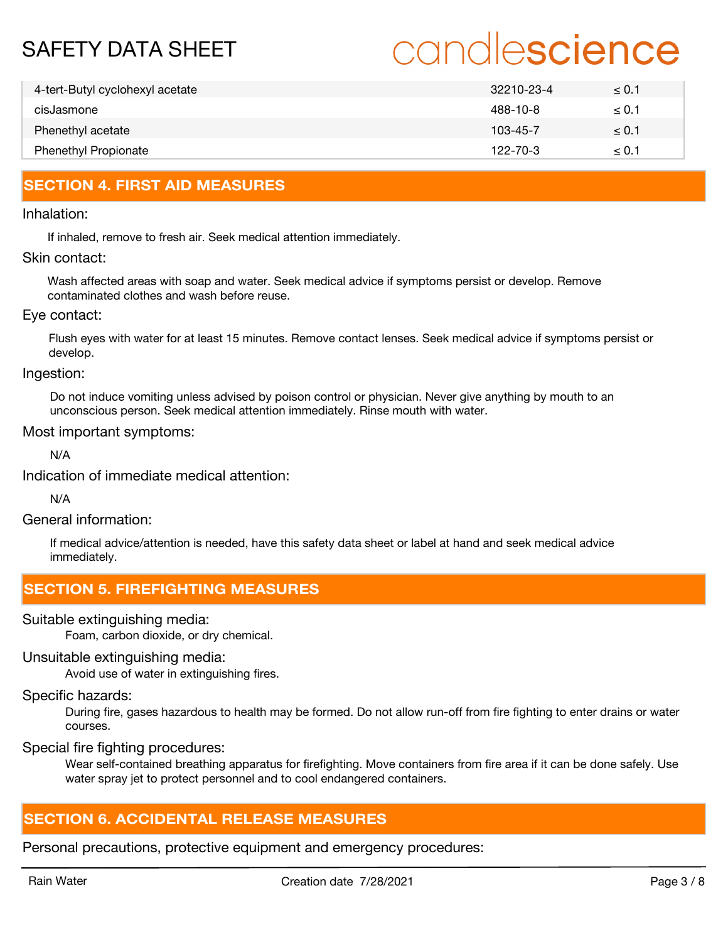# candlescience

| 4-tert-Butyl cyclohexyl acetate | 32210-23-4     | $\leq 0.1$ |
|---------------------------------|----------------|------------|
| cisJasmone                      | 488-10-8       | $\leq 0.1$ |
| Phenethyl acetate               | 103-45-7       | $\leq 0.1$ |
| <b>Phenethyl Propionate</b>     | $122 - 70 - 3$ | $\leq 0.1$ |

## **SECTION 4. FIRST AID MEASURES**

### Inhalation:

If inhaled, remove to fresh air. Seek medical attention immediately.

### Skin contact:

Wash affected areas with soap and water. Seek medical advice if symptoms persist or develop. Remove contaminated clothes and wash before reuse.

### Eye contact:

Flush eyes with water for at least 15 minutes. Remove contact lenses. Seek medical advice if symptoms persist or develop.

Ingestion:

Do not induce vomiting unless advised by poison control or physician. Never give anything by mouth to an unconscious person. Seek medical attention immediately. Rinse mouth with water.

### Most important symptoms:

N/A

Indication of immediate medical attention:

N/A

General information:

If medical advice/attention is needed, have this safety data sheet or label at hand and seek medical advice immediately.

### **SECTION 5. FIREFIGHTING MEASURES**

Suitable extinguishing media:

Foam, carbon dioxide, or dry chemical.

### Unsuitable extinguishing media:

Avoid use of water in extinguishing fires.

### Specific hazards:

During fire, gases hazardous to health may be formed. Do not allow run-off from fire fighting to enter drains or water courses.

Special fire fighting procedures:

Wear self-contained breathing apparatus for firefighting. Move containers from fire area if it can be done safely. Use water spray jet to protect personnel and to cool endangered containers.

## **SECTION 6. ACCIDENTAL RELEASE MEASURES**

Personal precautions, protective equipment and emergency procedures: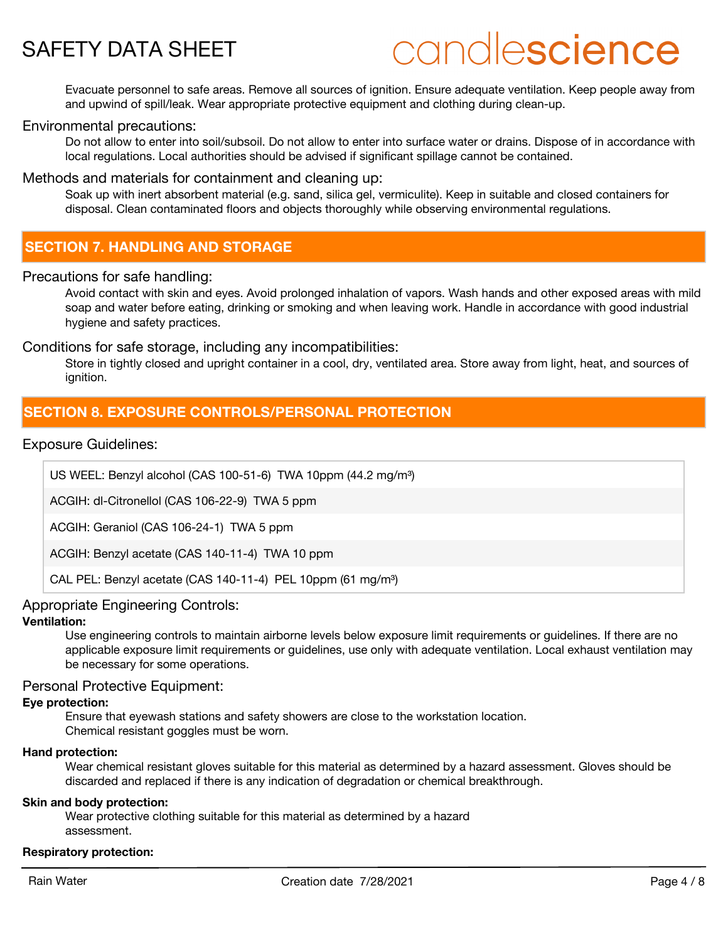# candlescience

Evacuate personnel to safe areas. Remove all sources of ignition. Ensure adequate ventilation. Keep people away from and upwind of spill/leak. Wear appropriate protective equipment and clothing during clean-up.

### Environmental precautions:

Do not allow to enter into soil/subsoil. Do not allow to enter into surface water or drains. Dispose of in accordance with local regulations. Local authorities should be advised if significant spillage cannot be contained.

### Methods and materials for containment and cleaning up:

Soak up with inert absorbent material (e.g. sand, silica gel, vermiculite). Keep in suitable and closed containers for disposal. Clean contaminated floors and objects thoroughly while observing environmental regulations.

### **SECTION 7. HANDLING AND STORAGE**

### Precautions for safe handling:

Avoid contact with skin and eyes. Avoid prolonged inhalation of vapors. Wash hands and other exposed areas with mild soap and water before eating, drinking or smoking and when leaving work. Handle in accordance with good industrial hygiene and safety practices.

### Conditions for safe storage, including any incompatibilities:

Store in tightly closed and upright container in a cool, dry, ventilated area. Store away from light, heat, and sources of ianition.

### **SECTION 8. EXPOSURE CONTROLS/PERSONAL PROTECTION**

### Exposure Guidelines:

US WEEL: Benzyl alcohol (CAS 100-51-6) TWA 10ppm (44.2 mg/m<sup>3</sup>)

ACGIH: dl-Citronellol (CAS 106-22-9) TWA 5 ppm

ACGIH: Geraniol (CAS 106-24-1) TWA 5 ppm

ACGIH: Benzyl acetate (CAS 140-11-4) TWA 10 ppm

CAL PEL: Benzyl acetate (CAS 140-11-4) PEL 10ppm (61 mg/m<sup>3</sup>)

### Appropriate Engineering Controls:

### **Ventilation:**

Use engineering controls to maintain airborne levels below exposure limit requirements or guidelines. If there are no applicable exposure limit requirements or guidelines, use only with adequate ventilation. Local exhaust ventilation may be necessary for some operations.

### Personal Protective Equipment:

### **Eye protection:**

Ensure that eyewash stations and safety showers are close to the workstation location. Chemical resistant goggles must be worn.

### **Hand protection:**

Wear chemical resistant gloves suitable for this material as determined by a hazard assessment. Gloves should be discarded and replaced if there is any indication of degradation or chemical breakthrough.

### **Skin and body protection:**

Wear protective clothing suitable for this material as determined by a hazard assessment.

### **Respiratory protection:**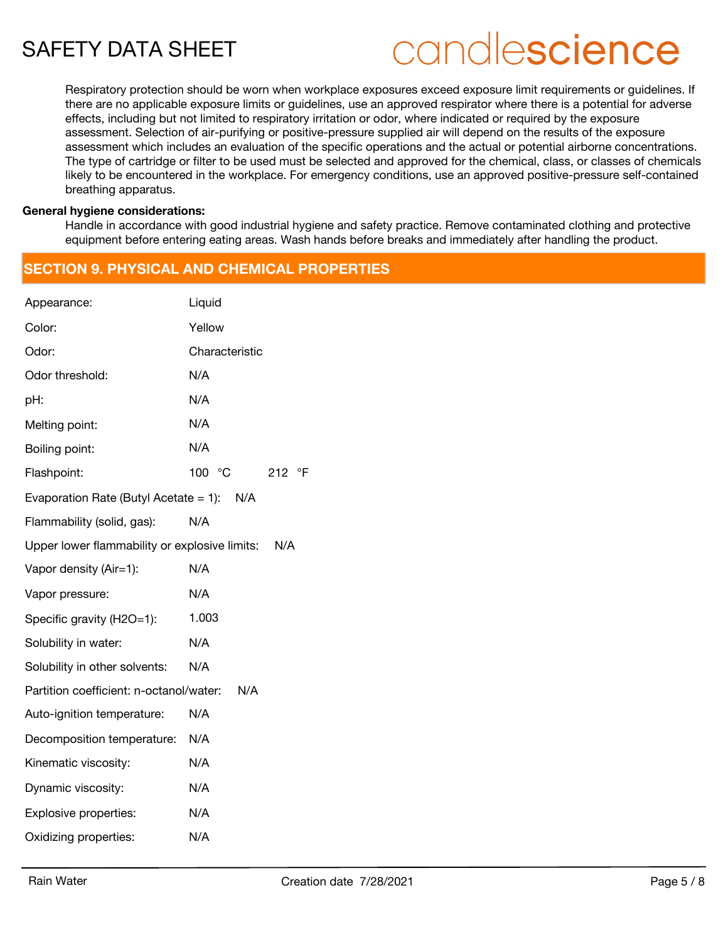# candlescience

Respiratory protection should be worn when workplace exposures exceed exposure limit requirements or guidelines. If there are no applicable exposure limits or guidelines, use an approved respirator where there is a potential for adverse effects, including but not limited to respiratory irritation or odor, where indicated or required by the exposure assessment. Selection of air-purifying or positive-pressure supplied air will depend on the results of the exposure assessment which includes an evaluation of the specific operations and the actual or potential airborne concentrations. The type of cartridge or filter to be used must be selected and approved for the chemical, class, or classes of chemicals likely to be encountered in the workplace. For emergency conditions, use an approved positive-pressure self-contained breathing apparatus.

### **General hygiene considerations:**

Handle in accordance with good industrial hygiene and safety practice. Remove contaminated clothing and protective equipment before entering eating areas. Wash hands before breaks and immediately after handling the product.

## **SECTION 9. PHYSICAL AND CHEMICAL PROPERTIES**

| Appearance:                                   | Liquid           |
|-----------------------------------------------|------------------|
| Color:                                        | Yellow           |
| Odor:                                         | Characteristic   |
| Odor threshold:                               | N/A              |
| pH:                                           | N/A              |
| Melting point:                                | N/A              |
| Boiling point:                                | N/A              |
| Flashpoint:                                   | 100 °C<br>212 °F |
| Evaporation Rate (Butyl Acetate = 1): $N/A$   |                  |
| Flammability (solid, gas):                    | N/A              |
| Upper lower flammability or explosive limits: | N/A              |
| Vapor density (Air=1):                        | N/A              |
| Vapor pressure:                               | N/A              |
| Specific gravity (H2O=1):                     | 1.003            |
| Solubility in water:                          | N/A              |
| Solubility in other solvents:                 | N/A              |
| Partition coefficient: n-octanol/water:       | N/A              |
| Auto-ignition temperature:                    | N/A              |
| Decomposition temperature:                    | N/A              |
| Kinematic viscosity:                          | N/A              |
| Dynamic viscosity:                            | N/A              |
| Explosive properties:                         | N/A              |
| Oxidizing properties:                         | N/A              |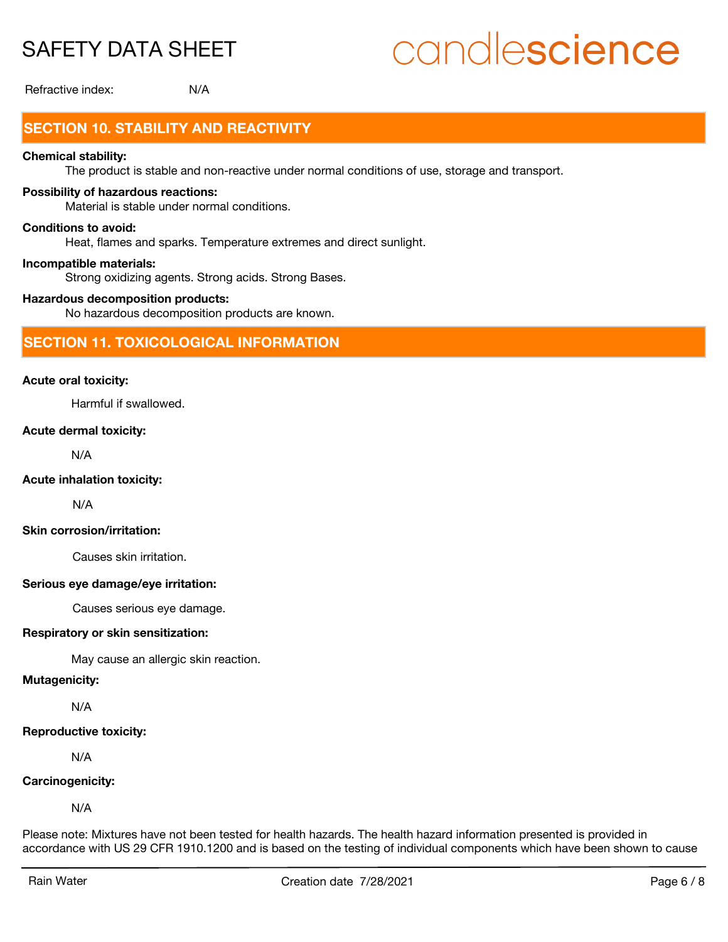# candlescience

Refractive index: N/A

# **SECTION 10. STABILITY AND REACTIVITY**

### **Chemical stability:**

The product is stable and non-reactive under normal conditions of use, storage and transport.

### **Possibility of hazardous reactions:**

Material is stable under normal conditions.

### **Conditions to avoid:**

Heat, flames and sparks. Temperature extremes and direct sunlight.

### **Incompatible materials:**

Strong oxidizing agents. Strong acids. Strong Bases.

### **Hazardous decomposition products:**

No hazardous decomposition products are known.

### **SECTION 11. TOXICOLOGICAL INFORMATION**

### **Acute oral toxicity:**

Harmful if swallowed.

### **Acute dermal toxicity:**

N/A

### **Acute inhalation toxicity:**

N/A

### **Skin corrosion/irritation:**

Causes skin irritation.

### **Serious eye damage/eye irritation:**

Causes serious eye damage.

### **Respiratory or skin sensitization:**

May cause an allergic skin reaction.

### **Mutagenicity:**

N/A

### **Reproductive toxicity:**

N/A

### **Carcinogenicity:**

N/A

Please note: Mixtures have not been tested for health hazards. The health hazard information presented is provided in accordance with US 29 CFR 1910.1200 and is based on the testing of individual components which have been shown to cause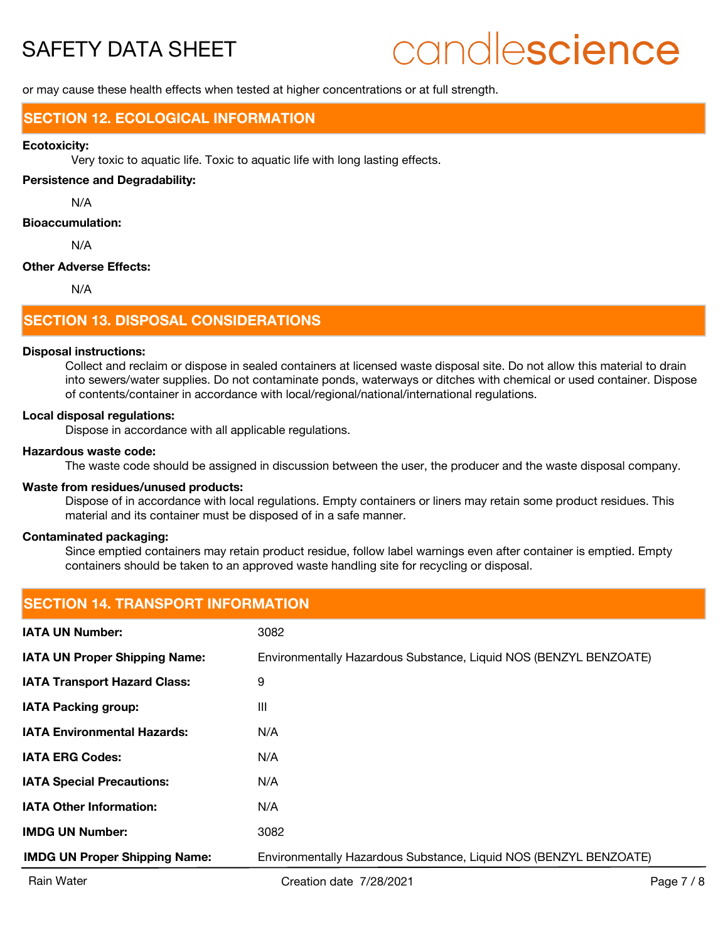# candlescience

or may cause these health effects when tested at higher concentrations or at full strength.

### **SECTION 12. ECOLOGICAL INFORMATION**

#### **Ecotoxicity:**

Very toxic to aquatic life. Toxic to aquatic life with long lasting effects.

### **Persistence and Degradability:**

N/A

### **Bioaccumulation:**

N/A

### **Other Adverse Effects:**

N/A

### **SECTION 13. DISPOSAL CONSIDERATIONS**

### **Disposal instructions:**

Collect and reclaim or dispose in sealed containers at licensed waste disposal site. Do not allow this material to drain into sewers/water supplies. Do not contaminate ponds, waterways or ditches with chemical or used container. Dispose of contents/container in accordance with local/regional/national/international regulations.

#### **Local disposal regulations:**

Dispose in accordance with all applicable regulations.

### **Hazardous waste code:**

The waste code should be assigned in discussion between the user, the producer and the waste disposal company.

### **Waste from residues/unused products:**

Dispose of in accordance with local regulations. Empty containers or liners may retain some product residues. This material and its container must be disposed of in a safe manner.

### **Contaminated packaging:**

Since emptied containers may retain product residue, follow label warnings even after container is emptied. Empty containers should be taken to an approved waste handling site for recycling or disposal.

| ISECTION 14. TRANSPORT INFORMATION   |                                                                   |  |  |  |
|--------------------------------------|-------------------------------------------------------------------|--|--|--|
| <b>IATA UN Number:</b>               | 3082                                                              |  |  |  |
| <b>IATA UN Proper Shipping Name:</b> | Environmentally Hazardous Substance, Liquid NOS (BENZYL BENZOATE) |  |  |  |
| <b>IATA Transport Hazard Class:</b>  | 9                                                                 |  |  |  |
| <b>IATA Packing group:</b>           | Ш                                                                 |  |  |  |
| <b>IATA Environmental Hazards:</b>   | N/A                                                               |  |  |  |
| <b>IATA ERG Codes:</b>               | N/A                                                               |  |  |  |
| <b>IATA Special Precautions:</b>     | N/A                                                               |  |  |  |
| <b>IATA Other Information:</b>       | N/A                                                               |  |  |  |
| <b>IMDG UN Number:</b>               | 3082                                                              |  |  |  |
| <b>IMDG UN Proper Shipping Name:</b> | Environmentally Hazardous Substance, Liquid NOS (BENZYL BENZOATE) |  |  |  |

## **SECTION 14. TRANSPORT INFORMATION**